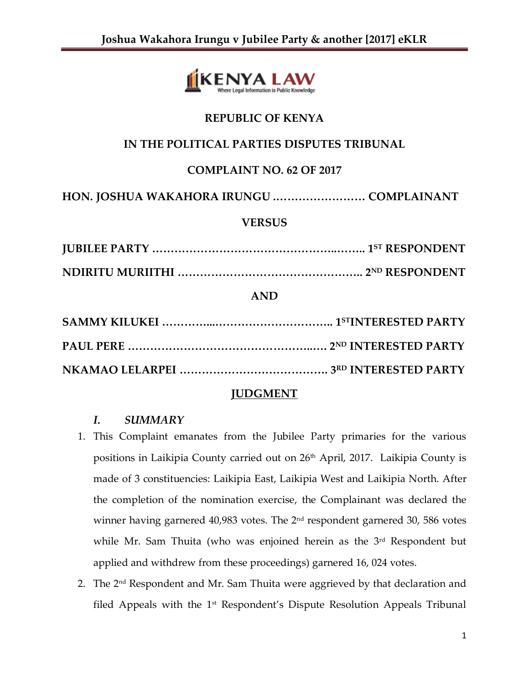

# **REPUBLIC OF KENYA**

# **IN THE POLITICAL PARTIES DISPUTES TRIBUNAL**

## **COMPLAINT NO. 62 OF 2017**

**HON. JOSHUA WAKAHORA IRUNGU .…………………… COMPLAINANT**

### **VERSUS**

**JUBILEE PARTY …………………………………………..…….. 1ST RESPONDENT NDIRITU MURIITHI ………………………………………….. 2ND RESPONDENT**

### **AND**

## **JUDGMENT**

### *I. SUMMARY*

- 1. This Complaint emanates from the Jubilee Party primaries for the various positions in Laikipia County carried out on 26<sup>th</sup> April, 2017. Laikipia County is made of 3 constituencies: Laikipia East, Laikipia West and Laikipia North. After the completion of the nomination exercise, the Complainant was declared the winner having garnered 40,983 votes. The 2<sup>nd</sup> respondent garnered 30, 586 votes while Mr. Sam Thuita (who was enjoined herein as the 3<sup>rd</sup> Respondent but applied and withdrew from these proceedings) garnered 16, 024 votes.
- 2. The 2<sup>nd</sup> Respondent and Mr. Sam Thuita were aggrieved by that declaration and filed Appeals with the  $1<sup>st</sup>$  Respondent's Dispute Resolution Appeals Tribunal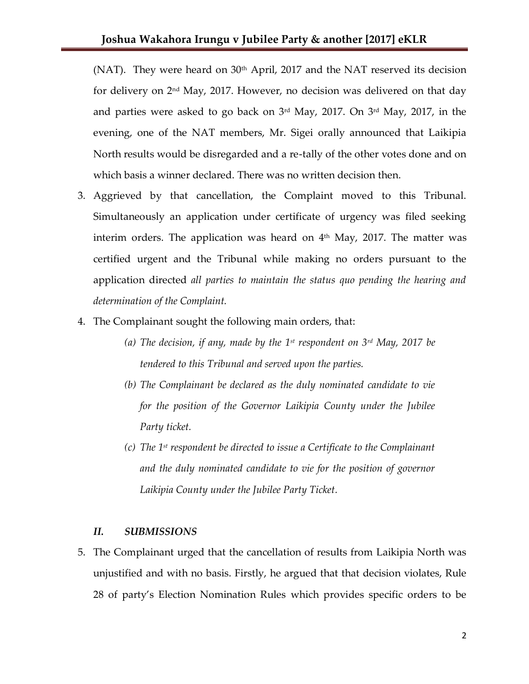(NAT). They were heard on  $30<sup>th</sup>$  April, 2017 and the NAT reserved its decision for delivery on 2nd May, 2017. However, no decision was delivered on that day and parties were asked to go back on 3<sup>rd</sup> May, 2017. On 3<sup>rd</sup> May, 2017, in the evening, one of the NAT members, Mr. Sigei orally announced that Laikipia North results would be disregarded and a re-tally of the other votes done and on which basis a winner declared. There was no written decision then.

- 3. Aggrieved by that cancellation, the Complaint moved to this Tribunal. Simultaneously an application under certificate of urgency was filed seeking interim orders. The application was heard on  $4<sup>th</sup>$  May, 2017. The matter was certified urgent and the Tribunal while making no orders pursuant to the application directed *all parties to maintain the status quo pending the hearing and determination of the Complaint.*
- 4. The Complainant sought the following main orders, that:
	- *(a) The decision, if any, made by the 1st respondent on 3rd May, 2017 be tendered to this Tribunal and served upon the parties.*
	- *(b) The Complainant be declared as the duly nominated candidate to vie for the position of the Governor Laikipia County under the Jubilee Party ticket.*
	- *(c) The 1st respondent be directed to issue a Certificate to the Complainant and the duly nominated candidate to vie for the position of governor Laikipia County under the Jubilee Party Ticket.*

### *II. SUBMISSIONS*

5. The Complainant urged that the cancellation of results from Laikipia North was unjustified and with no basis. Firstly, he argued that that decision violates, Rule 28 of party's Election Nomination Rules which provides specific orders to be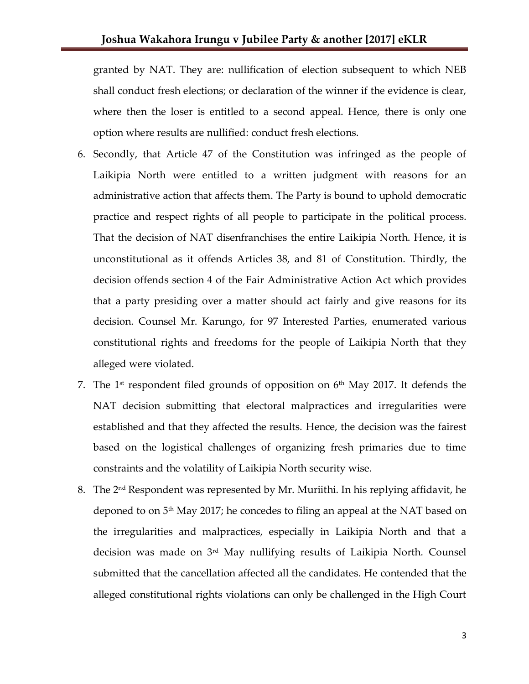granted by NAT. They are: nullification of election subsequent to which NEB shall conduct fresh elections; or declaration of the winner if the evidence is clear, where then the loser is entitled to a second appeal. Hence, there is only one option where results are nullified: conduct fresh elections.

- 6. Secondly, that Article 47 of the Constitution was infringed as the people of Laikipia North were entitled to a written judgment with reasons for an administrative action that affects them. The Party is bound to uphold democratic practice and respect rights of all people to participate in the political process. That the decision of NAT disenfranchises the entire Laikipia North. Hence, it is unconstitutional as it offends Articles 38, and 81 of Constitution. Thirdly, the decision offends section 4 of the Fair Administrative Action Act which provides that a party presiding over a matter should act fairly and give reasons for its decision. Counsel Mr. Karungo, for 97 Interested Parties, enumerated various constitutional rights and freedoms for the people of Laikipia North that they alleged were violated.
- 7. The 1 st respondent filed grounds of opposition on 6th May 2017. It defends the NAT decision submitting that electoral malpractices and irregularities were established and that they affected the results. Hence, the decision was the fairest based on the logistical challenges of organizing fresh primaries due to time constraints and the volatility of Laikipia North security wise.
- 8. The 2 nd Respondent was represented by Mr. Muriithi. In his replying affidavit, he deponed to on  $5<sup>th</sup>$  May 2017; he concedes to filing an appeal at the NAT based on the irregularities and malpractices, especially in Laikipia North and that a decision was made on 3rd May nullifying results of Laikipia North. Counsel submitted that the cancellation affected all the candidates. He contended that the alleged constitutional rights violations can only be challenged in the High Court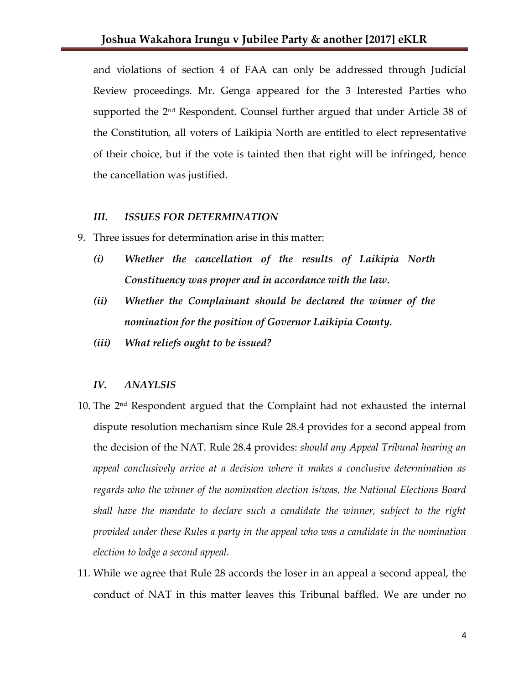and violations of section 4 of FAA can only be addressed through Judicial Review proceedings. Mr. Genga appeared for the 3 Interested Parties who supported the 2nd Respondent. Counsel further argued that under Article 38 of the Constitution, all voters of Laikipia North are entitled to elect representative of their choice, but if the vote is tainted then that right will be infringed, hence the cancellation was justified.

#### *III. ISSUES FOR DETERMINATION*

- 9. Three issues for determination arise in this matter:
	- *(i) Whether the cancellation of the results of Laikipia North Constituency was proper and in accordance with the law.*
	- *(ii) Whether the Complainant should be declared the winner of the nomination for the position of Governor Laikipia County.*
	- *(iii) What reliefs ought to be issued?*

#### *IV. ANAYLSIS*

- 10. The  $2<sup>nd</sup>$  Respondent argued that the Complaint had not exhausted the internal dispute resolution mechanism since Rule 28.4 provides for a second appeal from the decision of the NAT. Rule 28.4 provides: *should any Appeal Tribunal hearing an appeal conclusively arrive at a decision where it makes a conclusive determination as regards who the winner of the nomination election is/was, the National Elections Board shall have the mandate to declare such a candidate the winner, subject to the right provided under these Rules a party in the appeal who was a candidate in the nomination election to lodge a second appeal.*
- 11. While we agree that Rule 28 accords the loser in an appeal a second appeal, the conduct of NAT in this matter leaves this Tribunal baffled. We are under no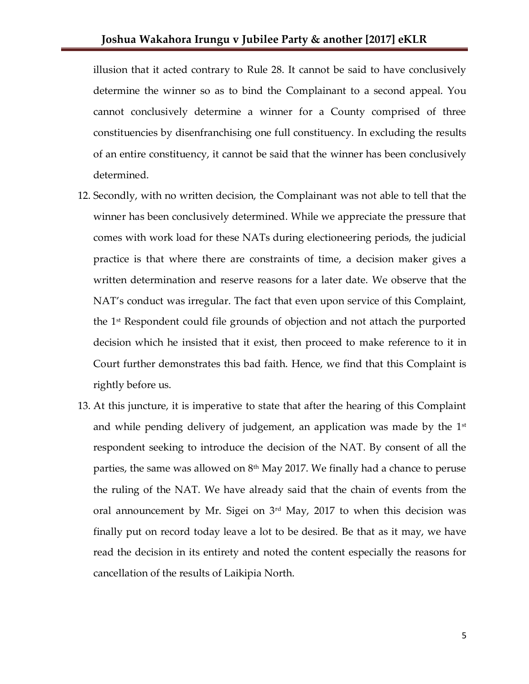illusion that it acted contrary to Rule 28. It cannot be said to have conclusively determine the winner so as to bind the Complainant to a second appeal. You cannot conclusively determine a winner for a County comprised of three constituencies by disenfranchising one full constituency. In excluding the results of an entire constituency, it cannot be said that the winner has been conclusively determined.

- 12. Secondly, with no written decision, the Complainant was not able to tell that the winner has been conclusively determined. While we appreciate the pressure that comes with work load for these NATs during electioneering periods, the judicial practice is that where there are constraints of time, a decision maker gives a written determination and reserve reasons for a later date. We observe that the NAT's conduct was irregular. The fact that even upon service of this Complaint, the 1st Respondent could file grounds of objection and not attach the purported decision which he insisted that it exist, then proceed to make reference to it in Court further demonstrates this bad faith. Hence, we find that this Complaint is rightly before us.
- 13. At this juncture, it is imperative to state that after the hearing of this Complaint and while pending delivery of judgement, an application was made by the  $1^\mathrm{st}$ respondent seeking to introduce the decision of the NAT. By consent of all the parties, the same was allowed on  $8<sup>th</sup>$  May 2017. We finally had a chance to peruse the ruling of the NAT. We have already said that the chain of events from the oral announcement by Mr. Sigei on  $3<sup>rd</sup>$  May, 2017 to when this decision was finally put on record today leave a lot to be desired. Be that as it may, we have read the decision in its entirety and noted the content especially the reasons for cancellation of the results of Laikipia North.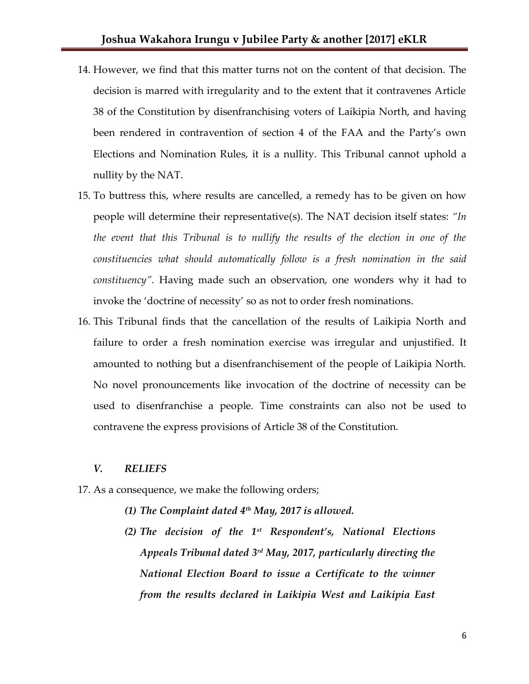- 14. However, we find that this matter turns not on the content of that decision. The decision is marred with irregularity and to the extent that it contravenes Article 38 of the Constitution by disenfranchising voters of Laikipia North, and having been rendered in contravention of section 4 of the FAA and the Party's own Elections and Nomination Rules, it is a nullity. This Tribunal cannot uphold a nullity by the NAT.
- 15. To buttress this, where results are cancelled, a remedy has to be given on how people will determine their representative(s). The NAT decision itself states: *"In the event that this Tribunal is to nullify the results of the election in one of the constituencies what should automatically follow is a fresh nomination in the said constituency".* Having made such an observation, one wonders why it had to invoke the 'doctrine of necessity' so as not to order fresh nominations.
- 16. This Tribunal finds that the cancellation of the results of Laikipia North and failure to order a fresh nomination exercise was irregular and unjustified. It amounted to nothing but a disenfranchisement of the people of Laikipia North. No novel pronouncements like invocation of the doctrine of necessity can be used to disenfranchise a people. Time constraints can also not be used to contravene the express provisions of Article 38 of the Constitution.

#### *V. RELIEFS*

- 17. As a consequence, we make the following orders;
	- *(1) The Complaint dated 4th May, 2017 is allowed.*
	- *(2) The decision of the 1st Respondent's, National Elections Appeals Tribunal dated 3rd May, 2017, particularly directing the National Election Board to issue a Certificate to the winner from the results declared in Laikipia West and Laikipia East*